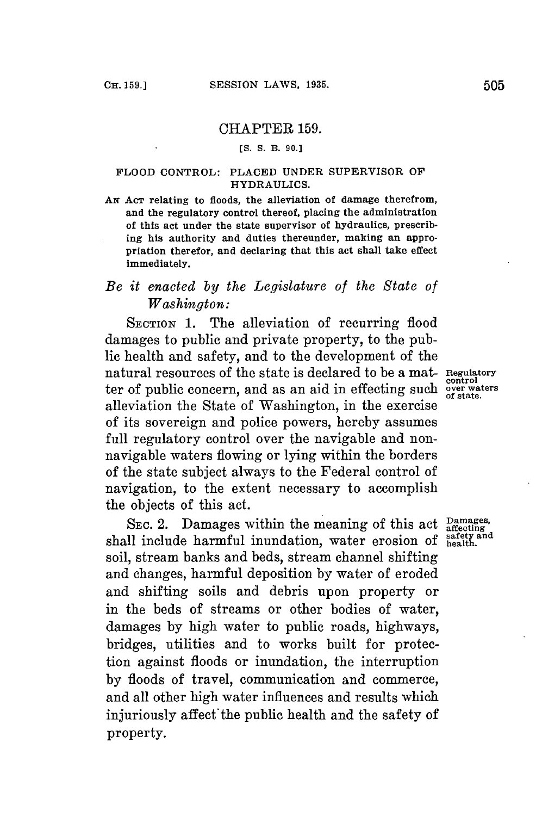#### CHAPTER **159.**

#### **[S. S. B. 90.]**

#### FLOOD CONTROL: **PLACED UNDER** SUPERVISOR **OF** HYDRAULICS.

AN Acr relating to floods, the alleviation of damage therefrom, and the regulatory control thereof, placing the administration of this act under the state supervisor of hydraulics, prescribing his authority and duties thereunder, making an appropriation therefor, and declaring that this act shall take effect immediately.

# *Be it enacted by the Legislature of the State of Washington:*

SECTION 1. The alleviation of recurring flood damages to public and private property, to the public health and safety, and to the development of the natural resources of the state is declared to be a mat- **Regulatory** ter of public concern, and as an aid in effecting such over waters alleviation the State of Washington, in the exercise of its sovereign and police powers, hereby assumes full regulatory control over the navigable and nonnavigable waters flowing or lying within the borders of the state subject always to the Federal control of navigation, to the extent necessary to accomplish the objects of this act.

SEC. 2. Damages within the meaning of this act  $\frac{\text{Damages}}{\text{afterting}}$ shall include harmful inundation, water erosion of **health**. soil, stream banks and beds, stream channel shifting and changes, harmful deposition **by** water of eroded and shifting soils and debris upon property or in the beds of streams or other bodies of water, damages **by** high water to public roads, highways, bridges, utilities and to works built for protection against floods or inundation, the interruption **by** floods of travel, communication and commerce, and all other high water influences and results which injuriously affect the public health and the safety of property.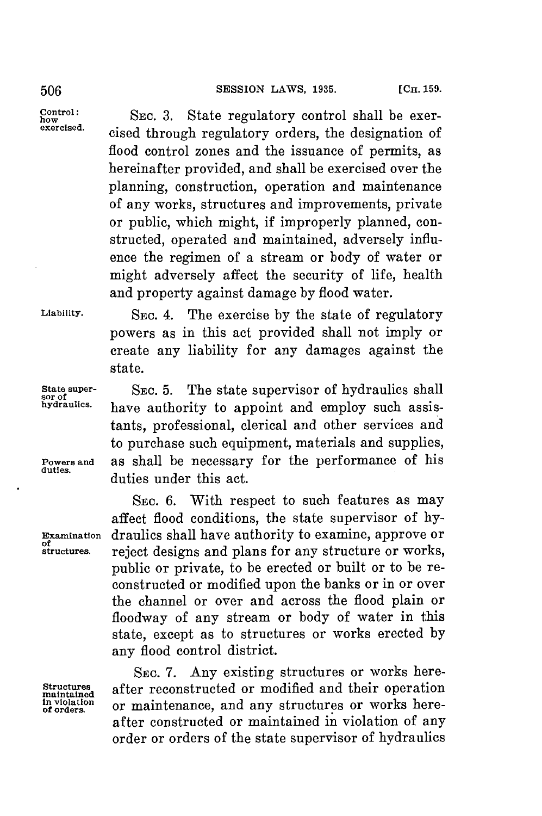### 506 **SESSION LAWS, 1935.** [C<sub>H.</sub> 159.

**Control:** SEC. 3. State regulatory control shall be exer**exercised.** cised through regulatory orders, the designation of flood control zones and the issuance of permits, as hereinafter provided, and shall be exercised over the planning, construction, operation and maintenance of any works, structures and improvements, private or public, which might, if improperly planned, constructed, operated and maintained, adversely influence the regimen of a stream or body of water or might adversely affect the security of life, health and property against damage **by** flood water.

Liability. SEC. 4. The exercise by the state of regulatory

state. **State super-** SEC. 5. The state supervisor of hydraulics shall<br>sor of<br>hydraulics. have authority to appoint and employ such assishave authority to appoint and employ such assistants, professional, clerical and other services and to purchase such equipment, materials and supplies, **Powers and** as shall be necessary for the performance of his duties under this act.

powers as in this act provided shall not imply or create any liability for any damages against the

SEc. **6.** With respect to such features as may affect flood conditions, the state supervisor of **hy-Examination** draulics shall have authority to examine, approve or **of** structures. reject designs and plans for any structure or works. reject designs and plans for any structure or works, public or private, to be erected or built or to be reconstructed or modified upon the banks or in or over the channel or over and across the flood plain or floodway of any stream or body of water in this state, except as to structures or works erected **by** any flood control district.

SEc. **7.** Any existing structures or works here-Structures after reconstructed or modified and their operation inviolation or maintenance, and any structures or works hereor maintenance, and any structures or works hereafter constructed or maintained in violation of any order or orders of the state supervisor of hydraulics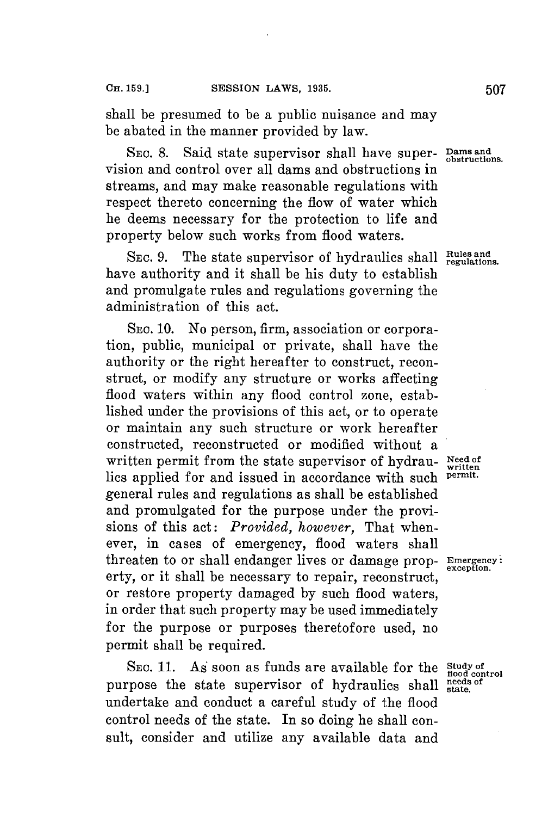shall be presumed to be a public nuisance and may be abated in the manner provided **by** law.

SEC. 8. Said state supervisor shall have super- Dams and vision and control over all dams and obstructions in streams, and may make reasonable regulations with respect thereto concerning the flow of water which he deems necessary for the protection to life and property below such works from flood waters.

SEC. 9. The state supervisor of hydraulics shall Rules and have authority and it shall be his duty to establish and promulgate rules and regulations governing the administration of this act.

**SEc. 10.** No person, firm, association or corporation, public, municipal or private, shall have the authority or the right hereafter to construct, reconstruct, or modify any structure or works affecting flood waters within any flood control zone, established under the provisions of this act, or to operate or maintain any such structure or work hereafter constructed, reconstructed or modified without a written permit from the state supervisor of hydrau- Need of lies applied for and issued in accordance with such **permit.** general rules and regulations as shall be established and promulgated for the purpose under the provisions of this act: *Provided, however,* That whenever, in cases of emergency, flood waters shall threaten to or shall endanger lives or damage prop- **Emergency:** erty, or it shall be necessary to repair, reconstruct, or restore property damaged **by** such flood waters, in order that such property may be used immediately for the purpose or purposes theretofore used, no permit shall be required.

SEC. 11. As soon as funds are available for the  $\frac{\text{Study of}}{\text{food control}}$  rpose the state supervisor of hydraulics shall settled purpose the state supervisor of hydraulics shall undertake and conduct a careful study of the flood control needs of the state. In so doing he shall consult, consider and utilize any available data and

**exception.**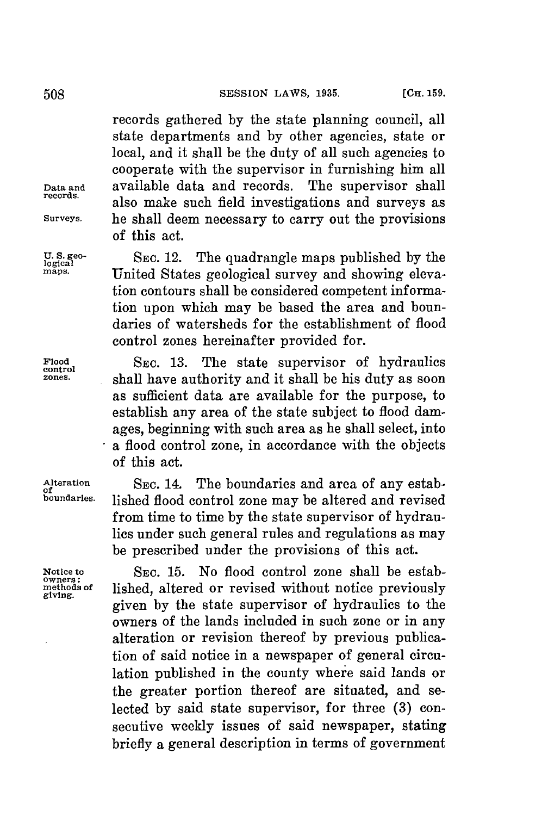### [OHa. **159. 508S SESSION** LAWS, **1935.**

records gathered **by** the state planning council, all state departments and **by** other agencies, state or local, and it shall be the duty of all such agencies to cooperate with the supervisor in furnishing him all **Data and** available data and records. The supervisor shall **records.** also make such field investigations and surveys as **Surveys.** he shall deem necessary to carry out the provisions of this act.

**U.S. geo- SEC.** 12. The quadrangle maps published **by** the **logical** United States geological survey and showing elevation contours shall be considered competent information upon which may be based the area and boundaries of watersheds for the establishment of flood control zones hereinafter provided for.

Flood SEC. 13. The state supervisor of hydraulics **control**<br>
control and the state of the state is duty as seen **zones.** shall have authority and it shall be his duty as soon as sufficient data are available for the purpose, to establish any area of the state subject to flood damages, beginning with such area as he shall select, into a flood control zone, in accordance with the objects of this act.

Alteration SEC. 14. The boundaries and area of any estab<sub>of</sub><br> **boundaries** lished flood control gaps may be altered and revised lished flood control zone may be altered and revised from time to time **by** the state supervisor of hydraulics under such general rules and regulations as may be prescribed under the provisions of this act.

**Notice to SEc. 15.** No flood control zone shall be estabwhethods of **lished, altered or revised without notice previously** given **by** the state supervisor of hydraulics to the owners of the lands included in such zone or in any alteration or revision thereof **by** previous publication of said notice in a newspaper of general circulation published in the county where said lands or the greater portion thereof are situated, and selected **by** said state supervisor, for three **(3)** consecutive weekly issues of said newspaper, stating briefly a general description in terms of government

**Owners:**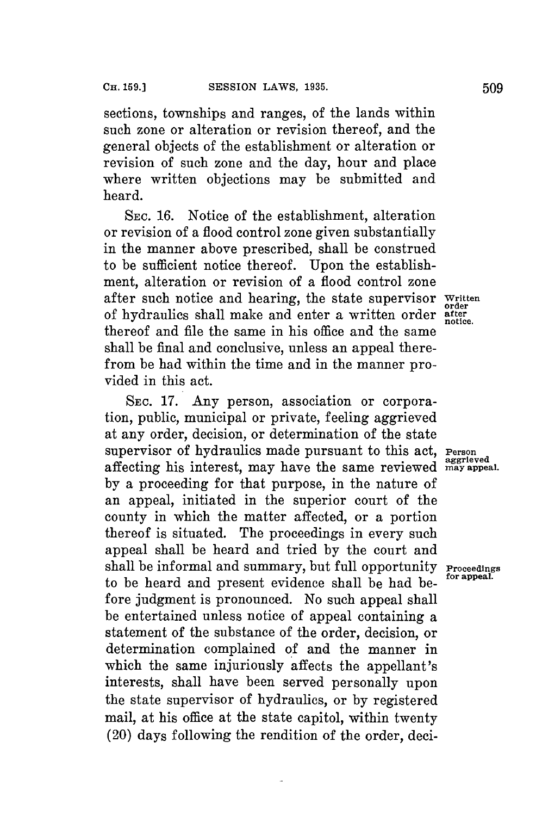sections, townships and ranges, of the lands within such zone or alteration or revision thereof, and the general objects of the establishment or alteration or revision of such zone and the day, hour and place where written objections may be submitted and heard.

**SEC. 16.** Notice of the establishment, alteration or revision of a flood control zone given substantially in the manner above prescribed, shall be construed to be sufficient notice thereof. Upon the establishment, alteration or revision of a flood control zone after such notice and hearing, the state supervisor Written **order** of hydraulics shall make and enter a written order **after notice.** thereof and file the same in his office and the same shall be final and conclusive, unless an appeal therefrom be had within the time and in the manner provided in this act.

**SEC. 17. Any** person, association or corporation, public, municipal or private, feeling aggrieved at any order, decision, or determination of the state supervisor of hydraulics made pursuant to this act, Person aggregate affecting his interest, may have the same reviewed **may appeal. by** a proceeding for that purpose, in the nature of an appeal, initiated in the superior court of the county in which the matter affected, or a portion thereof is situated. The proceedings in every such appeal shall be heard and tried **by** the court and shall be informal and summary, but full opportunity **Proceedings** to be heard and present evidence shall be had before judgment is pronounced. No such appeal shall be entertained unless notice of appeal containing a statement of the substance of the order, decision, or determination complained of and the manner in which the same injuriously affects the appellant's interests, shall have been served personally upon the state supervisor of hydraulics, or **by** registered mail, at his office at the state capitol, within twenty (20) days following the rendition of the order, deci-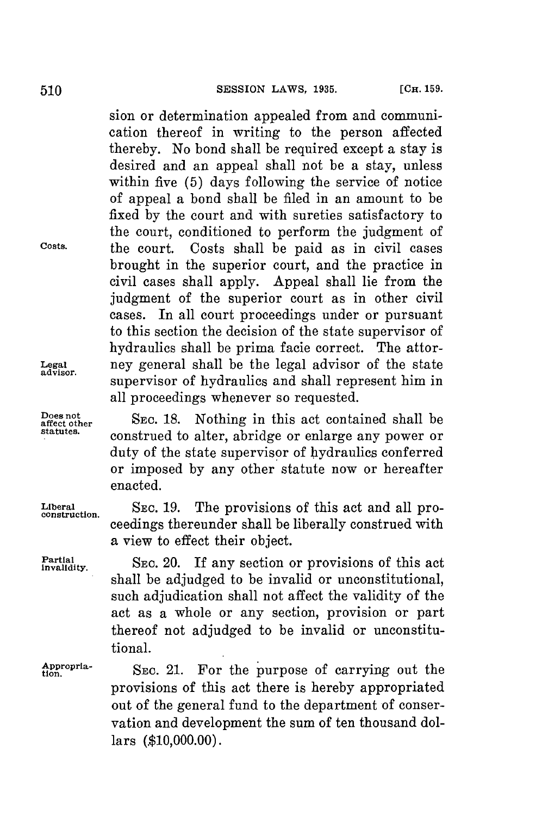sion or determination appealed from and communication thereof in writing to the person affected thereby. No bond shall be required except a stay is desired and an appeal shall not be a stay, unless within five **(5)** days following the service of notice of appeal a bond shall be filed in an amount to be fixed **by** the court and with sureties satisfactory to the court, conditioned to perform the judgment of **Costs.** the court. Costs shall be paid as in civil cases brought in the superior court, and the practice in civil cases shall apply. Appeal shall lie from the judgment of the superior court as in other civil cases. In all court proceedings under or pursuant to this section the decision of the state supervisor of hydraulics shall be prima facie correct. The attor-**Legal** ney general shall be the legal advisor of the state supervisor of hydraulics and shall represent him in all proceedings whenever so requested.

**Example 18. et onther SEC.** 18. **Nothing in this act contained shall be** construed to alter, abridge or enlarge any power or duty of the state supervisor of hydraulics conferred or imposed **by** any other statute now or hereafter enacted.

**Liberal SEC. 19.** The provisions of this act and all pro- **construction.** ceedings thereunder shall be liberally construed with a view to effect their object.

Partial **Invalidity.** SEC. 20. If any section or provisions of this actional shall be adjudged to be invalid or unconstitutional. such adjudication shall not affect the validity of the act as a whole or any section, provision or part thereof not adjudged to be invalid or unconstitutional.

Appropria-<br> **SEC. 21.** For the purpose of carrying out the provisions of this act there is hereby appropriated out of the general fund to the department of conservation and development the sum of ten thousand dollars **(\$10,000.00).**